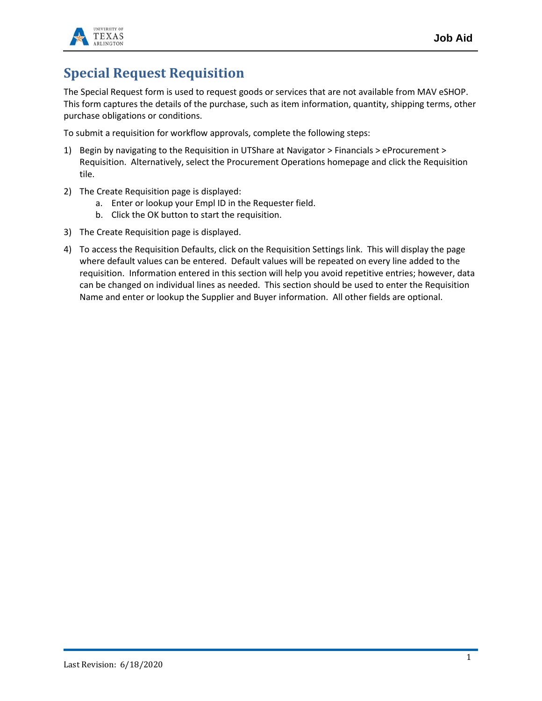

## **Special Request Requisition**

The Special Request form is used to request goods or services that are not available from MAV eSHOP. This form captures the details of the purchase, such as item information, quantity, shipping terms, other purchase obligations or conditions.

To submit a requisition for workflow approvals, complete the following steps:

- 1) Begin by navigating to the Requisition in UTShare at Navigator > Financials > eProcurement > Requisition. Alternatively, select the Procurement Operations homepage and click the Requisition tile.
- 2) The Create Requisition page is displayed:
	- a. Enter or lookup your Empl ID in the Requester field.
	- b. Click the OK button to start the requisition.
- 3) The Create Requisition page is displayed.
- 4) To access the Requisition Defaults, click on the Requisition Settings link. This will display the page where default values can be entered. Default values will be repeated on every line added to the requisition. Information entered in this section will help you avoid repetitive entries; however, data can be changed on individual lines as needed. This section should be used to enter the Requisition Name and enter or lookup the Supplier and Buyer information. All other fields are optional.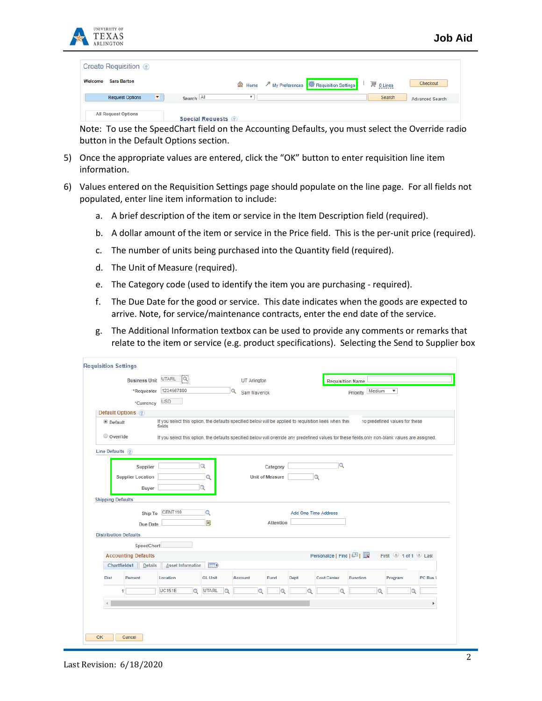

| Create Requisition ?                     |                                                                                                                      |
|------------------------------------------|----------------------------------------------------------------------------------------------------------------------|
| <b>Sara Barton</b><br>Welcome            | <b>△</b> Home <i>/</i> <sup>*</sup> My Preferences <b>4</b> Requisition Settings<br>$\mathbb{F}$ 0 Lines<br>Checkout |
| $\blacksquare$<br><b>Request Options</b> | Search All<br>Search<br><b>Advanced Search</b>                                                                       |
| <b>All Request Options</b>               | <b>Special Requests</b> 2                                                                                            |

Note: To use the SpeedChart field on the Accounting Defaults, you must select the Override radio button in the Default Options section.

- 5) Once the appropriate values are entered, click the "OK" button to enter requisition line item information.
- 6) Values entered on the Requisition Settings page should populate on the line page. For all fields not populated, enter line item information to include:
	- a. A brief description of the item or service in the Item Description field (required).
	- b. A dollar amount of the item or service in the Price field. This is the per-unit price (required).
	- c. The number of units being purchased into the Quantity field (required).
	- d. The Unit of Measure (required).
	- e. The Category code (used to identify the item you are purchasing required).
	- f. The Due Date for the good or service. This date indicates when the goods are expected to arrive. Note, for service/maintenance contracts, enter the end date of the service.
	- g. The Additional Information textbox can be used to provide any comments or remarks that relate to the item or service (e.g. product specifications). Selecting the Send to Supplier box

| <b>Business Unit UTARL</b>   | $\overline{a}$                                                                                                                                    |                         | <b>UT Arlington</b> |                        |                             | <b>Requisition Name</b> |                 |          |                                |          |
|------------------------------|---------------------------------------------------------------------------------------------------------------------------------------------------|-------------------------|---------------------|------------------------|-----------------------------|-------------------------|-----------------|----------|--------------------------------|----------|
| *Requester                   | 1234567890                                                                                                                                        | Q                       | Sam Mayerick        |                        |                             |                         | Priority Medium |          | $\boldsymbol{\mathrm{v}}$      |          |
| *Currency                    | <b>USD</b>                                                                                                                                        |                         |                     |                        |                             |                         |                 |          |                                |          |
| Default Options ?            |                                                                                                                                                   |                         |                     |                        |                             |                         |                 |          |                                |          |
| <sup>®</sup> Default         | If you select this option, the defaults specified below will be applied to requisition lines when their<br>fields.                                |                         |                     |                        |                             |                         |                 |          | no predefined values for these |          |
| $\circ$ Override             | If you select this option, the defaults specified below will override any predefined values for these fields, only non-blank values are assigned. |                         |                     |                        |                             |                         |                 |          |                                |          |
| Line Defaults ?              |                                                                                                                                                   |                         |                     |                        |                             |                         |                 |          |                                |          |
| <b>Supplier</b>              |                                                                                                                                                   | Q                       |                     | Category               |                             | $\alpha$                |                 |          |                                |          |
| <b>Supplier Location</b>     |                                                                                                                                                   | Q                       |                     | <b>Unit of Measure</b> |                             | $\Omega$                |                 |          |                                |          |
| <b>Buyer</b>                 |                                                                                                                                                   | Q                       |                     |                        |                             |                         |                 |          |                                |          |
| <b>Shipping Defaults</b>     |                                                                                                                                                   |                         |                     |                        |                             |                         |                 |          |                                |          |
| <b>Ship To</b>               | <b>CENT110</b>                                                                                                                                    | Q                       |                     |                        | <b>Add One Time Address</b> |                         |                 |          |                                |          |
| <b>Due Date</b>              |                                                                                                                                                   | ÞU                      |                     | <b>Attention</b>       |                             |                         |                 |          |                                |          |
| <b>Distribution Defaults</b> |                                                                                                                                                   |                         |                     |                        |                             |                         |                 |          |                                |          |
| SpeedChart                   |                                                                                                                                                   |                         |                     |                        |                             |                         |                 |          |                                |          |
| <b>Accounting Defaults</b>   |                                                                                                                                                   |                         |                     |                        |                             | Personalize   Find   2  |                 |          | First 1 of 1 Last              |          |
| Chartfields1<br>Details      | Asset Information                                                                                                                                 | $\boxed{=}$             |                     |                        |                             |                         |                 |          |                                |          |
| Percent<br><b>Dist</b>       | Location                                                                                                                                          | <b>GL Unit</b>          | Account             | Fund                   | <b>Dept</b>                 | <b>Cost Center</b>      | <b>Function</b> |          | Program                        | PC Bus L |
|                              | <b>UC151E</b><br>$\alpha$                                                                                                                         | <b>UTARL</b><br>$\circ$ | $\Omega$            |                        | ◠                           | $\Omega$                |                 | $\alpha$ | $\alpha$                       |          |
|                              |                                                                                                                                                   |                         |                     |                        |                             |                         |                 |          |                                | Þ.       |
|                              |                                                                                                                                                   |                         |                     |                        |                             |                         |                 |          |                                |          |
|                              |                                                                                                                                                   |                         |                     |                        |                             |                         |                 |          |                                |          |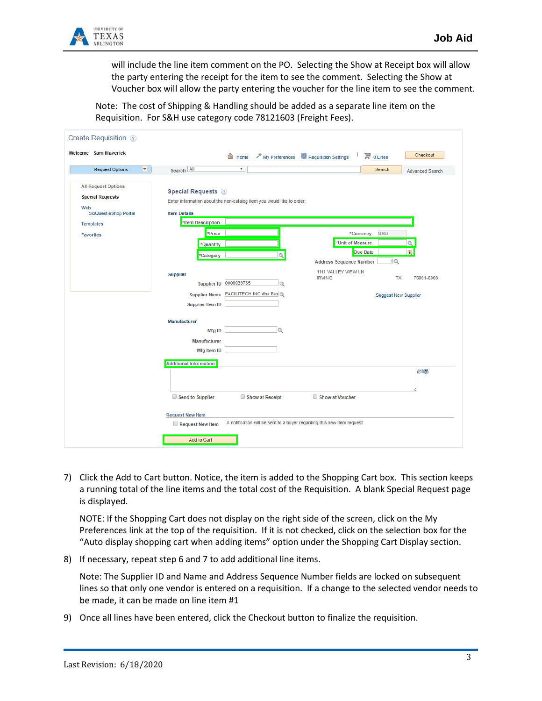

will include the line item comment on the PO. Selecting the Show at Receipt box will allow the party entering the receipt for the item to see the comment. Selecting the Show at Voucher box will allow the party entering the voucher for the line item to see the comment.

Note: The cost of Shipping & Handling should be added as a separate line item on the Requisition. For S&H use category code 78121603 (Freight Fees).

| Create Requisition 2                                                                                                                 |                                                                                                                                                                                    |                           |                 |                                                                           |                                           |                        |
|--------------------------------------------------------------------------------------------------------------------------------------|------------------------------------------------------------------------------------------------------------------------------------------------------------------------------------|---------------------------|-----------------|---------------------------------------------------------------------------|-------------------------------------------|------------------------|
| Welcome Sam Maverick                                                                                                                 |                                                                                                                                                                                    | <b>合</b> Home             |                 | My Preferences <b>1999</b> Requisition Settings                           | $\mathbb{F}$ 0 Lines                      | Checkout               |
| $\overline{\phantom{a}}$<br><b>Request Options</b>                                                                                   | Search All                                                                                                                                                                         | $\boldsymbol{\mathrm{v}}$ |                 |                                                                           | Search                                    | <b>Advanced Search</b> |
| <b>All Request Options</b><br><b>Special Requests</b><br>Web<br><b>SciQuest eShop Portal</b><br><b>Templates</b><br><b>Favorites</b> | <b>Special Requests</b> 2<br>Enter information about the non-catalog item you would like to order:<br><b>Item Details</b><br>*Item Description<br>*Price<br>*Quantity<br>*Category |                           | Q               | *Unit of Measure<br><b>Address Sequence Number</b><br>1111 VALLEY VIEW LN | <b>USD</b><br>*Currency<br>Due Date<br>1Q | Q<br>$\overline{31}$   |
|                                                                                                                                      | <b>Supplier</b><br><b>Supplier ID</b>                                                                                                                                              | 0000039785                | Q               | <b>IRVING</b>                                                             | <b>TX</b>                                 | 75061-6008             |
|                                                                                                                                      | <b>Supplier Name</b><br><b>Supplier Item ID</b>                                                                                                                                    | FACILITECH INC dba Bus Q  |                 |                                                                           | <b>Suggest New Supplier</b>               |                        |
|                                                                                                                                      | Manufacturer                                                                                                                                                                       |                           |                 |                                                                           |                                           |                        |
|                                                                                                                                      | Mfg ID                                                                                                                                                                             |                           | $\alpha$        |                                                                           |                                           |                        |
|                                                                                                                                      | Manufacturer<br>Mfg Item ID                                                                                                                                                        |                           |                 |                                                                           |                                           |                        |
|                                                                                                                                      | <b>Additional Information</b>                                                                                                                                                      |                           |                 |                                                                           |                                           |                        |
|                                                                                                                                      |                                                                                                                                                                                    |                           |                 |                                                                           |                                           | 回必                     |
|                                                                                                                                      | Send to Supplier                                                                                                                                                                   |                           | Show at Receipt | Show at Voucher                                                           |                                           |                        |
|                                                                                                                                      | <b>Request New Item</b><br>Request New Item                                                                                                                                        |                           |                 | A notification will be sent to a buyer regarding this new item request.   |                                           |                        |
|                                                                                                                                      | Add to Cart                                                                                                                                                                        |                           |                 |                                                                           |                                           |                        |

7) Click the Add to Cart button. Notice, the item is added to the Shopping Cart box. This section keeps a running total of the line items and the total cost of the Requisition. A blank Special Request page is displayed.

NOTE: If the Shopping Cart does not display on the right side of the screen, click on the My Preferences link at the top of the requisition. If it is not checked, click on the selection box for the "Auto display shopping cart when adding items" option under the Shopping Cart Display section.

8) If necessary, repeat step 6 and 7 to add additional line items.

Note: The Supplier ID and Name and Address Sequence Number fields are locked on subsequent lines so that only one vendor is entered on a requisition. If a change to the selected vendor needs to be made, it can be made on line item #1

9) Once all lines have been entered, click the Checkout button to finalize the requisition.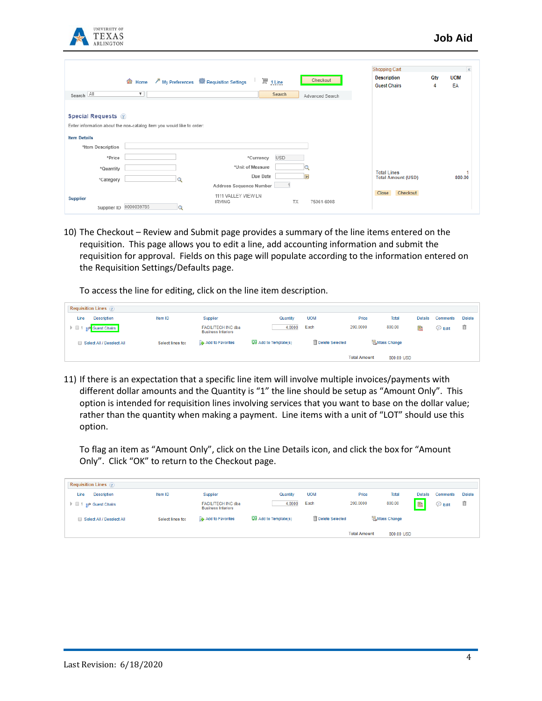

|                                                                       |                         |                                                                 |                         |                         | <b>Shopping Cart</b>                      |          |                  |
|-----------------------------------------------------------------------|-------------------------|-----------------------------------------------------------------|-------------------------|-------------------------|-------------------------------------------|----------|------------------|
|                                                                       |                         | <b>△</b> Home <i>/</i> My Preferences<br>※ Requisition Settings | $\mathbb{F}$ 1 Line     | Checkout                | <b>Description</b><br><b>Guest Chairs</b> | Qty<br>4 | <b>UOM</b><br>EA |
| Search All                                                            | $\overline{\mathbf{v}}$ |                                                                 | Search                  | Advanced Search         |                                           |          |                  |
| <b>Special Requests</b> 2                                             |                         |                                                                 |                         |                         |                                           |          |                  |
| Enter information about the non-catalog item you would like to order: |                         |                                                                 |                         |                         |                                           |          |                  |
| <b>Item Details</b>                                                   |                         |                                                                 |                         |                         |                                           |          |                  |
| *Item Description                                                     |                         |                                                                 |                         |                         |                                           |          |                  |
| *Price                                                                |                         |                                                                 | <b>USD</b><br>*Currency |                         |                                           |          |                  |
| *Quantity                                                             |                         | *Unit of Measure                                                |                         |                         | <b>Total Lines</b>                        |          |                  |
| *Category                                                             |                         |                                                                 | Due Date                | $\overline{\mathbf{H}}$ | <b>Total Amount (USD)</b>                 |          | 800.00           |
|                                                                       |                         | Address Sequence Number                                         |                         |                         |                                           |          |                  |
| Supplier                                                              |                         | 1111 VALLEY VIEW LN<br><b>IRVING</b>                            | <b>TX</b>               | 75061-6008              | Checkout<br>Close                         |          |                  |
| Supplier ID                                                           | 0000039785              |                                                                 |                         |                         |                                           |          |                  |

10) The Checkout – Review and Submit page provides a summary of the line items entered on the requisition. This page allows you to edit a line, add accounting information and submit the requisition for approval. Fields on this page will populate according to the information entered on the Requisition Settings/Defaults page.

To access the line for editing, click on the line item description.

|      | <b>Requisition Lines</b>  |                  |                                                        |                                         |                            |                     |                     |                |             |               |
|------|---------------------------|------------------|--------------------------------------------------------|-----------------------------------------|----------------------------|---------------------|---------------------|----------------|-------------|---------------|
| Line | <b>Description</b>        | Item ID          | Supplier                                               | Quantity                                | <b>UOM</b>                 | Price               | <b>Total</b>        | <b>Details</b> | Comments    | <b>Delete</b> |
|      | <b>Guest Chairs</b>       |                  | <b>FACILITECH INC dba</b><br><b>Business Interiors</b> | 4.0000                                  | Each                       | 200,0000            | 800.00              | 醖              | <b>Edit</b> | û             |
|      | Select All / Deselect All | Select lines to: | <b>B</b> Add to Favorites                              | <b>Q<sub>3</sub></b> Add to Template(s) | <b>III</b> Delete Selected |                     | <b>温Mass Change</b> |                |             |               |
|      |                           |                  |                                                        |                                         |                            | <b>Total Amount</b> | 800.00 USD          |                |             |               |

11) If there is an expectation that a specific line item will involve multiple invoices/payments with different dollar amounts and the Quantity is "1" the line should be setup as "Amount Only". This option is intended for requisition lines involving services that you want to base on the dollar value; rather than the quantity when making a payment. Line items with a unit of "LOT" should use this option.

To flag an item as "Amount Only", click on the Line Details icon, and click the box for "Amount Only". Click "OK" to return to the Checkout page.

| <b>Requisition Lines</b>                    |                  |                                                        |                       |                        |                     |              |                |             |               |
|---------------------------------------------|------------------|--------------------------------------------------------|-----------------------|------------------------|---------------------|--------------|----------------|-------------|---------------|
| <b>Description</b><br>Line                  | Item ID          | Supplier                                               | Quantity              | <b>UOM</b>             | Price               | <b>Total</b> | <b>Details</b> | Comments    | <b>Delete</b> |
| $\triangleright$ 0.1<br><b>Guest Chairs</b> |                  | <b>FACILITECH INC dba</b><br><b>Business Interiors</b> | 4.0000                | Each                   | 200,0000            | 800.00       |                | <b>Edit</b> | û             |
| Select All / Deselect All                   | Select lines to: | <b>Re</b> Add to Favorites                             | 08 Add to Template(s) | <b>Delete Selected</b> |                     | 温Mass Change |                |             |               |
|                                             |                  |                                                        |                       |                        | <b>Total Amount</b> | 800.00 USD   |                |             |               |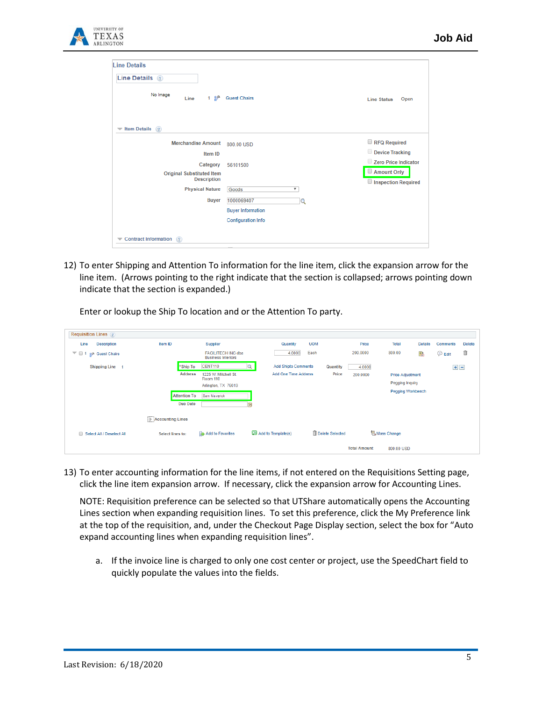

| Line Details 2                                                   |                                  |                                    |
|------------------------------------------------------------------|----------------------------------|------------------------------------|
| No Image<br>1 ஜூ<br>Line                                         | <b>Guest Chairs</b>              | Open<br><b>Line Status</b>         |
| <b>Item Details</b><br>$\circled{?}$<br>$\overline{\phantom{a}}$ |                                  |                                    |
| <b>Merchandise Amount</b>                                        | 800.00 USD                       | RFQ Required                       |
| Item ID                                                          |                                  | Device Tracking                    |
| Category                                                         | 56101500                         | Zero Price Indicator               |
| <b>Original Substituted Item</b><br><b>Description</b>           |                                  | Amount Only<br>Inspection Required |
| <b>Physical Nature</b>                                           | $\overline{\mathbf{v}}$<br>Goods |                                    |
| <b>Buyer</b>                                                     | 1000069407<br>$\alpha$           |                                    |
|                                                                  | <b>Buyer Information</b>         |                                    |
|                                                                  | <b>Configuration Info</b>        |                                    |

12) To enter Shipping and Attention To information for the line item, click the expansion arrow for the line item. (Arrows pointing to the right indicate that the section is collapsed; arrows pointing down indicate that the section is expanded.)

Enter or lookup the Ship To location and or the Attention To party.

| <b>Requisition Lines</b> 2                                                           |                                        |                                                                |                              |                 |                     |                                                                        |                |             |               |
|--------------------------------------------------------------------------------------|----------------------------------------|----------------------------------------------------------------|------------------------------|-----------------|---------------------|------------------------------------------------------------------------|----------------|-------------|---------------|
| Line<br><b>Description</b>                                                           | Item ID                                | Supplier                                                       | Quantity                     | <b>UOM</b>      | Price               | <b>Total</b>                                                           | <b>Details</b> | Comments    | <b>Delete</b> |
| $\overline{ }$ $\overline{ }$ $\overline{ }$ $\overline{ }$ 1<br><b>Guest Chairs</b> |                                        | <b>FACILITECH INC dba</b><br><b>Business Interiors</b>         | 4.0000                       | Each            | 200,0000            | 800.00                                                                 | 書              | <b>Edit</b> | û             |
| Shipping Line 1                                                                      | *Ship To                               | CENT110                                                        | <b>Add Shipto Comments</b>   | Quantity        | 4.0000              |                                                                        |                | $+$ $-$     |               |
|                                                                                      | <b>Address</b>                         | 1225 W. Mitchell St.<br><b>Room 110</b><br>Arlington, TX 76019 | <b>Add One Time Address</b>  | Price           | 200.0000            | <b>Price Adjustment</b><br>Pegging Inquiry<br><b>Pegging Workbench</b> |                |             |               |
|                                                                                      | <b>Attention To</b><br><b>Due Date</b> | Sam Mayerick                                                   | Ħ                            |                 |                     |                                                                        |                |             |               |
|                                                                                      | Accounting Lines                       |                                                                |                              |                 |                     |                                                                        |                |             |               |
| Select All / Deselect All                                                            | Select lines to:                       | <b>B</b> Add to Favorites                                      | <b>Q2</b> Add to Template(s) | Delete Selected |                     | <b>AMass Change</b>                                                    |                |             |               |
|                                                                                      |                                        |                                                                |                              |                 | <b>Total Amount</b> | 800.00 USD                                                             |                |             |               |

13) To enter accounting information for the line items, if not entered on the Requisitions Setting page, click the line item expansion arrow. If necessary, click the expansion arrow for Accounting Lines.

NOTE: Requisition preference can be selected so that UTShare automatically opens the Accounting Lines section when expanding requisition lines. To set this preference, click the My Preference link at the top of the requisition, and, under the Checkout Page Display section, select the box for "Auto expand accounting lines when expanding requisition lines".

a. If the invoice line is charged to only one cost center or project, use the SpeedChart field to quickly populate the values into the fields.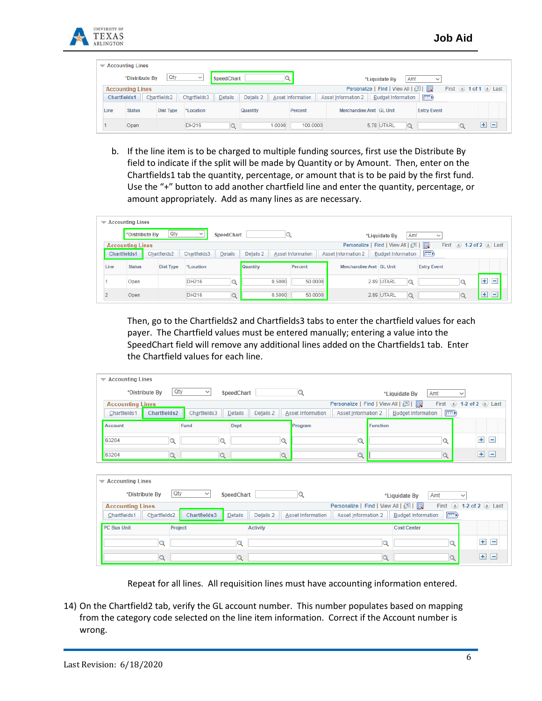

|                                                                                                    | $\blacktriangledown$ Accounting Lines                                                                                                                                |           |              |  |          |        |          |                         |                        |                    |  |   |    |
|----------------------------------------------------------------------------------------------------|----------------------------------------------------------------------------------------------------------------------------------------------------------------------|-----------|--------------|--|----------|--------|----------|-------------------------|------------------------|--------------------|--|---|----|
| Qty<br>*Distribute By<br>$\checkmark$<br><b>SpeedChart</b><br>Amt<br>*Liquidate By<br>$\checkmark$ |                                                                                                                                                                      |           |              |  |          |        |          |                         |                        |                    |  |   |    |
|                                                                                                    | First $\bigcirc$ 1 of 1 $\bigcirc$ Last<br>Personalize   Find   View All   2  <br><b>Accounting Lines</b>                                                            |           |              |  |          |        |          |                         |                        |                    |  |   |    |
|                                                                                                    | (FFE)<br><b>Budget Information</b><br>Chartfields3<br>Details<br>Details 2<br><b>Asset Information 2</b><br><b>Chartfields1</b><br>Asset Information<br>Chartfields2 |           |              |  |          |        |          |                         |                        |                    |  |   |    |
| Line                                                                                               | <b>Status</b>                                                                                                                                                        | Dist Type | *Location    |  | Quantity |        | Percent  | Merchandise Amt GL Unit |                        | <b>Entry Event</b> |  |   |    |
|                                                                                                    | Open                                                                                                                                                                 |           | <b>DH216</b> |  |          | 1.0000 | 100.0000 |                         | 5.78 UTARL<br>$\Omega$ |                    |  | 王 | ıн |

b. If the line item is to be charged to multiple funding sources, first use the Distribute By field to indicate if the split will be made by Quantity or by Amount. Then, enter on the Chartfields1 tab the quantity, percentage, or amount that is to be paid by the first fund. Use the "+" button to add another chartfield line and enter the quantity, percentage, or amount appropriately. Add as many lines as are necessary.

|      | $\blacktriangledown$ Accounting Lines                                                                                                                               |  |                  |              |             |                 |        |         |                         |               |                     |            |
|------|---------------------------------------------------------------------------------------------------------------------------------------------------------------------|--|------------------|--------------|-------------|-----------------|--------|---------|-------------------------|---------------|---------------------|------------|
|      | *Distribute By                                                                                                                                                      |  | Qty              | $\check{}$   | SpeedChart  |                 |        |         |                         | *Liquidate By | Amt<br>$\checkmark$ |            |
|      | First 4 1-2 of 2 D Last<br>Personalize   Find   View All   2  <br><b>Accounting Lines</b>                                                                           |  |                  |              |             |                 |        |         |                         |               |                     |            |
|      | $\boxed{=}$<br>Details 2<br>Chartfields3<br>Details<br>Asset Information<br>Chartfields1<br>Chartfields2<br><b>Asset Information 2</b><br><b>Budget Information</b> |  |                  |              |             |                 |        |         |                         |               |                     |            |
| Line | <b>Status</b>                                                                                                                                                       |  | <b>Dist Type</b> | *Location    |             | <b>Quantity</b> |        | Percent | Merchandise Amt GL Unit |               | <b>Entry Event</b>  |            |
|      | Open                                                                                                                                                                |  |                  | DH216        | $\mathbf Q$ |                 | 0.5000 | 50,0000 |                         | 2.89 UTARL    | $\mathbf Q$         | $+$<br>$=$ |
|      | Open                                                                                                                                                                |  |                  | <b>DH216</b> | $\circ$     |                 | 0.5000 | 50.0000 |                         | 2.89 UTARL    | $\Omega$            | $+$ $-$    |

Then, go to the Chartfields2 and Chartfields3 tabs to enter the chartfield values for each payer. The Chartfield values must be entered manually; entering a value into the SpeedChart field will remove any additional lines added on the Chartfields1 tab. Enter the Chartfield values for each line.

| $\blacktriangleright$ Accounting Lines |                                                                                                             |              |                      |                   |                          |                                       |              |  |  |  |
|----------------------------------------|-------------------------------------------------------------------------------------------------------------|--------------|----------------------|-------------------|--------------------------|---------------------------------------|--------------|--|--|--|
|                                        | Qty<br>*Distribute By                                                                                       | $\checkmark$ | SpeedChart           |                   | *Liquidate By            | Amt                                   | $\checkmark$ |  |  |  |
|                                        | Personalize   Find   View All   2  <br>First $\bigcirc$ 1-2 of 2 $\bigcirc$ Last<br><b>Accounting Lines</b> |              |                      |                   |                          |                                       |              |  |  |  |
| Chartfields1                           | <b>Chartfields2</b>                                                                                         | Chartfields3 | Details 2<br>Details | Asset Information | Asset Information 2      | $\equiv$<br><b>Budget Information</b> |              |  |  |  |
| Account                                |                                                                                                             | Fund         | <b>Dept</b>          | Program           | <b>Function</b>          |                                       |              |  |  |  |
| 63204                                  |                                                                                                             |              |                      | ∽                 |                          |                                       | $+$ $-$      |  |  |  |
| 63204                                  | $\tilde{\phantom{a}}$                                                                                       |              |                      | u                 | $\overline{\phantom{a}}$ |                                       | $+$ $-$      |  |  |  |

| $\blacktriangleright$ Accounting Lines |                                                                                |                                       |                                                  |             |                   |  |  |  |  |  |  |
|----------------------------------------|--------------------------------------------------------------------------------|---------------------------------------|--------------------------------------------------|-------------|-------------------|--|--|--|--|--|--|
| *Distribute By                         | Qty<br>$\checkmark$<br><b>SpeedChart</b>                                       |                                       | *Liquidate By                                    | Amt         | $\checkmark$      |  |  |  |  |  |  |
| <b>Accounting Lines</b>                | First $\bigcirc$ 1-2 of 2 $\bigcirc$ Last<br>Personalize   Find   View All   2 |                                       |                                                  |             |                   |  |  |  |  |  |  |
| Chartfields1<br>Chartfields2           | Chartfields3<br>Details                                                        | Details 2<br><b>Asset Information</b> | <b>Budget Information</b><br>Asset Information 2 | $\boxed{=}$ |                   |  |  |  |  |  |  |
| <b>PC Bus Unit</b>                     | Project                                                                        | <b>Activity</b>                       | <b>Cost Center</b>                               |             |                   |  |  |  |  |  |  |
|                                        | u                                                                              |                                       | $\sim$                                           | u           | $\pm$<br>$\equiv$ |  |  |  |  |  |  |
| Q                                      | $\sim$                                                                         |                                       | Q                                                | Q           | $+$<br>$\Box$     |  |  |  |  |  |  |

Repeat for all lines. All requisition lines must have accounting information entered.

14) On the Chartfield2 tab, verify the GL account number. This number populates based on mapping from the category code selected on the line item information. Correct if the Account number is wrong.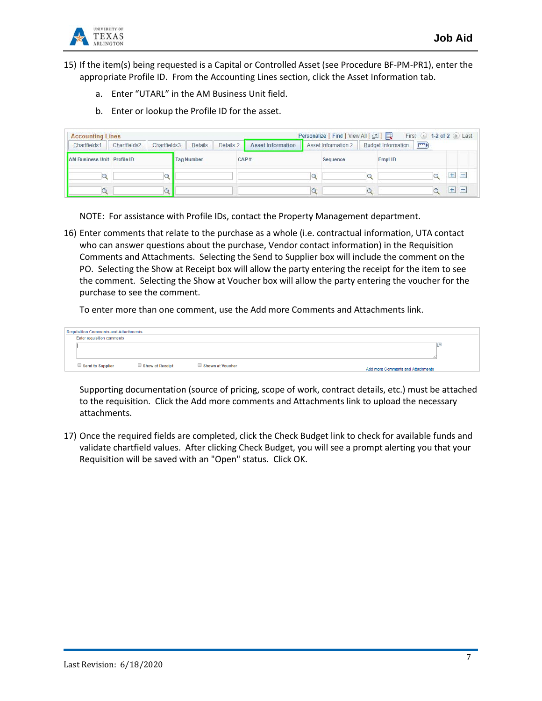

15) If the item(s) being requested is a Capital or Controlled Asset (see Procedure BF-PM-PR1), enter the appropriate Profile ID. From the Accounting Lines section, click the Asset Information tab.

- a. Enter "UTARL" in the AM Business Unit field.
- b. Enter or lookup the Profile ID for the asset.

| <b>Accounting Lines</b>     |                              |                      |                          | Personalize   Find   View All   [7]    | First 4 1-2 of 2 D Last |                                   |
|-----------------------------|------------------------------|----------------------|--------------------------|----------------------------------------|-------------------------|-----------------------------------|
| Chartfields1                | Chartfields3<br>Chartfields2 | Details<br>Details 2 | <b>Asset Information</b> | Asset Information 2 Budget Information | F                       |                                   |
| AM Business Unit Profile ID |                              | <b>Tag Number</b>    | CAP#                     | Sequence                               | Empl ID                 |                                   |
|                             |                              |                      |                          |                                        |                         | Ŧ<br>$\qquad \qquad \blacksquare$ |
|                             | $\sim$                       |                      |                          |                                        |                         | $+$<br>$\left  - \right $         |

NOTE: For assistance with Profile IDs, contact the Property Management department.

16) Enter comments that relate to the purchase as a whole (i.e. contractual information, UTA contact who can answer questions about the purchase, Vendor contact information) in the Requisition Comments and Attachments. Selecting the Send to Supplier box will include the comment on the PO. Selecting the Show at Receipt box will allow the party entering the receipt for the item to see the comment. Selecting the Show at Voucher box will allow the party entering the voucher for the purchase to see the comment.

To enter more than one comment, use the Add more Comments and Attachments link.

| <b>Requisition Comments and Attachments</b> |                 |                  |                                   |  |
|---------------------------------------------|-----------------|------------------|-----------------------------------|--|
| <b>Enter requisition comments</b>           |                 |                  |                                   |  |
|                                             |                 |                  |                                   |  |
|                                             |                 |                  |                                   |  |
|                                             |                 |                  |                                   |  |
| Send to Supplier                            | Show at Receipt | Shown at Voucher | Add more Comments and Attachments |  |
|                                             |                 |                  |                                   |  |

Supporting documentation (source of pricing, scope of work, contract details, etc.) must be attached to the requisition. Click the Add more comments and Attachments link to upload the necessary attachments.

17) Once the required fields are completed, click the Check Budget link to check for available funds and validate chartfield values. After clicking Check Budget, you will see a prompt alerting you that your Requisition will be saved with an "Open" status. Click OK.